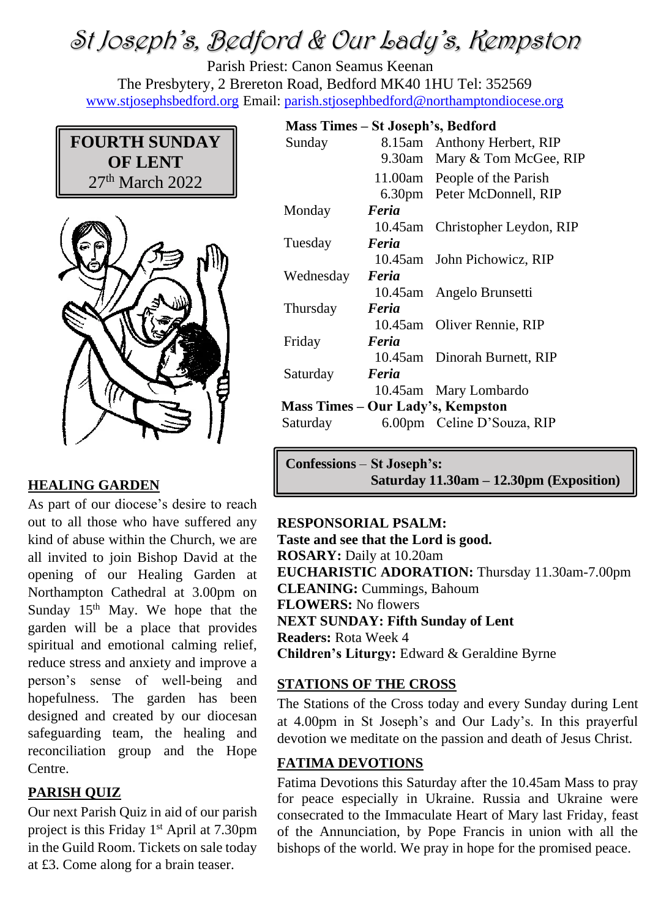# St Joseph's, Bedford & Our Lady's, Kempston

Parish Priest: Canon Seamus Keenan The Presbytery, 2 Brereton Road, Bedford MK40 1HU Tel: 352569 [www.stjosephsbedford.org](http://www.stjosephsbedford.org/) Email: [parish.stjosephbedford@northamptondiocese.org](mailto:parish.stjosephbedford@northamptondiocese.org)

# **FOURTH SUNDAY OF LENT** 27<sup>th</sup> March 2022



# **HEALING GARDEN**

As part of our diocese's desire to reach out to all those who have suffered any kind of abuse within the Church, we are all invited to join Bishop David at the opening of our Healing Garden at Northampton Cathedral at 3.00pm on Sunday 15<sup>th</sup> May. We hope that the garden will be a place that provides spiritual and emotional calming relief, reduce stress and anxiety and improve a person's sense of well-being and hopefulness. The garden has been designed and created by our diocesan safeguarding team, the healing and reconciliation group and the Hope Centre.

# **PARISH QUIZ**

Our next Parish Quiz in aid of our parish project is this Friday 1<sup>st</sup> April at 7.30pm in the Guild Room. Tickets on sale today at £3. Come along for a brain teaser.

## **Mass Times – St Joseph's, Bedford**

| Sunday                            |       | 8.15am Anthony Herbert, RIP     |
|-----------------------------------|-------|---------------------------------|
|                                   |       | 9.30am Mary & Tom McGee, RIP    |
|                                   |       | 11.00am People of the Parish    |
|                                   |       | 6.30pm Peter McDonnell, RIP     |
| Monday                            | Feria |                                 |
|                                   |       | 10.45am Christopher Leydon, RIP |
| Tuesday                           | Feria |                                 |
|                                   |       | 10.45am John Pichowicz, RIP     |
| Wednesday                         | Feria |                                 |
|                                   |       | 10.45am Angelo Brunsetti        |
| Thursday                          | Feria |                                 |
|                                   |       | 10.45am Oliver Rennie, RIP      |
| Friday                            | Feria |                                 |
|                                   |       | 10.45am Dinorah Burnett, RIP    |
| Saturday                          | Feria |                                 |
|                                   |       | 10.45am Mary Lombardo           |
| Mass Times – Our Lady's, Kempston |       |                                 |
| Saturday                          |       | 6.00pm Celine D'Souza, RIP      |
|                                   |       |                                 |

**Confessions** – **St Joseph's: Saturday 11.30am – 12.30pm (Exposition)**

#### **RESPONSORIAL PSALM:**

**Taste and see that the Lord is good. ROSARY:** Daily at 10.20am **EUCHARISTIC ADORATION:** Thursday 11.30am-7.00pm **CLEANING:** Cummings, Bahoum **FLOWERS:** No flowers **NEXT SUNDAY: Fifth Sunday of Lent Readers:** Rota Week 4 **Children's Liturgy:** Edward & Geraldine Byrne

#### **STATIONS OF THE CROSS**

The Stations of the Cross today and every Sunday during Lent at 4.00pm in St Joseph's and Our Lady's. In this prayerful devotion we meditate on the passion and death of Jesus Christ.

#### **FATIMA DEVOTIONS**

Fatima Devotions this Saturday after the 10.45am Mass to pray for peace especially in Ukraine. Russia and Ukraine were consecrated to the Immaculate Heart of Mary last Friday, feast of the Annunciation, by Pope Francis in union with all the bishops of the world. We pray in hope for the promised peace.